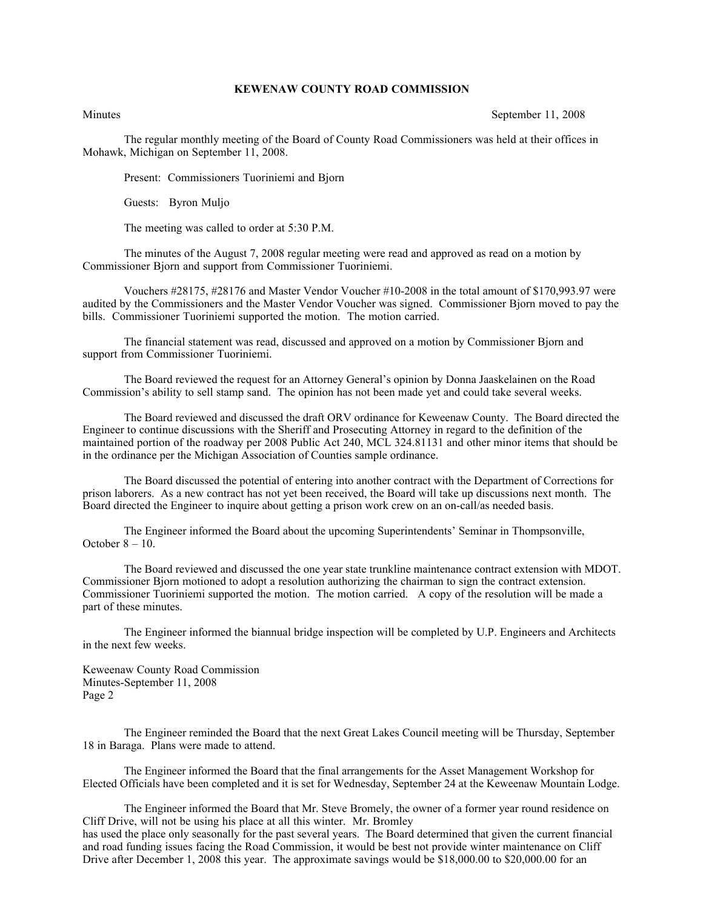## **KEWENAW COUNTY ROAD COMMISSION**

Minutes September 11, 2008

The regular monthly meeting of the Board of County Road Commissioners was held at their offices in Mohawk, Michigan on September 11, 2008.

Present: Commissioners Tuoriniemi and Bjorn

Guests: Byron Muljo

The meeting was called to order at 5:30 P.M.

The minutes of the August 7, 2008 regular meeting were read and approved as read on a motion by Commissioner Bjorn and support from Commissioner Tuoriniemi.

Vouchers #28175, #28176 and Master Vendor Voucher #10-2008 in the total amount of \$170,993.97 were audited by the Commissioners and the Master Vendor Voucher was signed. Commissioner Bjorn moved to pay the bills. Commissioner Tuoriniemi supported the motion. The motion carried.

The financial statement was read, discussed and approved on a motion by Commissioner Bjorn and support from Commissioner Tuoriniemi.

The Board reviewed the request for an Attorney General's opinion by Donna Jaaskelainen on the Road Commission's ability to sell stamp sand. The opinion has not been made yet and could take several weeks.

The Board reviewed and discussed the draft ORV ordinance for Keweenaw County. The Board directed the Engineer to continue discussions with the Sheriff and Prosecuting Attorney in regard to the definition of the maintained portion of the roadway per 2008 Public Act 240, MCL 324.81131 and other minor items that should be in the ordinance per the Michigan Association of Counties sample ordinance.

The Board discussed the potential of entering into another contract with the Department of Corrections for prison laborers. As a new contract has not yet been received, the Board will take up discussions next month. The Board directed the Engineer to inquire about getting a prison work crew on an on-call/as needed basis.

The Engineer informed the Board about the upcoming Superintendents' Seminar in Thompsonville, October 8 – 10.

The Board reviewed and discussed the one year state trunkline maintenance contract extension with MDOT. Commissioner Bjorn motioned to adopt a resolution authorizing the chairman to sign the contract extension. Commissioner Tuoriniemi supported the motion. The motion carried. A copy of the resolution will be made a part of these minutes.

The Engineer informed the biannual bridge inspection will be completed by U.P. Engineers and Architects in the next few weeks.

Keweenaw County Road Commission Minutes-September 11, 2008 Page 2

The Engineer reminded the Board that the next Great Lakes Council meeting will be Thursday, September 18 in Baraga. Plans were made to attend.

The Engineer informed the Board that the final arrangements for the Asset Management Workshop for Elected Officials have been completed and it is set for Wednesday, September 24 at the Keweenaw Mountain Lodge.

The Engineer informed the Board that Mr. Steve Bromely, the owner of a former year round residence on Cliff Drive, will not be using his place at all this winter. Mr. Bromley has used the place only seasonally for the past several years. The Board determined that given the current financial and road funding issues facing the Road Commission, it would be best not provide winter maintenance on Cliff Drive after December 1, 2008 this year. The approximate savings would be \$18,000.00 to \$20,000.00 for an